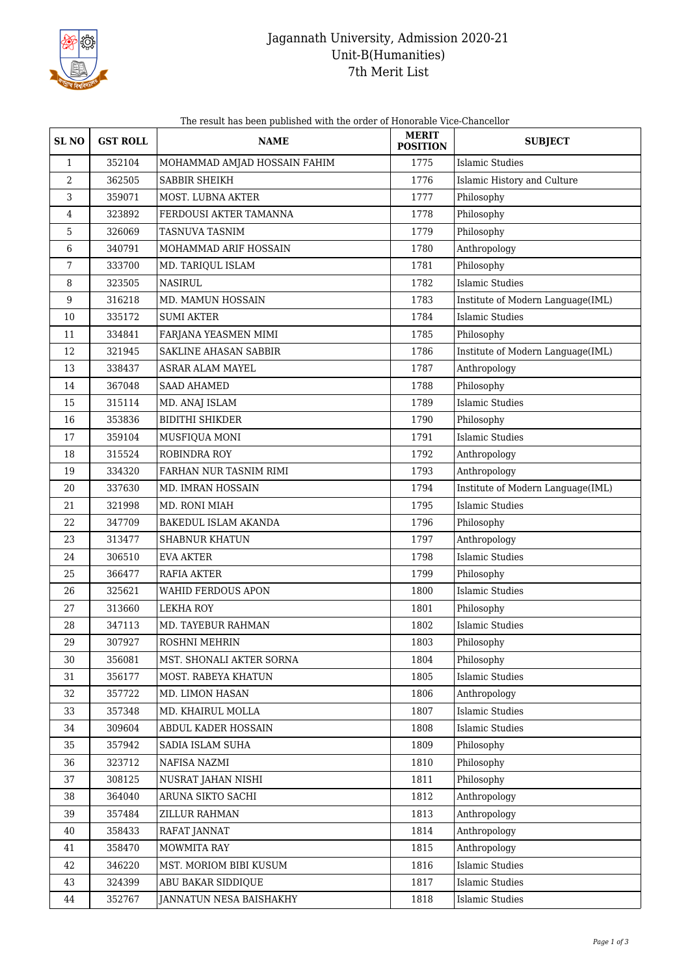

## Jagannath University, Admission 2020-21 Unit-B(Humanities) 7th Merit List

| The result has been published with the order of Honorable Vice-Chancellor |  |
|---------------------------------------------------------------------------|--|
|---------------------------------------------------------------------------|--|

| <b>SL NO</b> | <b>GST ROLL</b> | <b>NAME</b>                  | <b>MERIT</b><br><b>POSITION</b> | <b>SUBJECT</b>                    |
|--------------|-----------------|------------------------------|---------------------------------|-----------------------------------|
| $\mathbf{1}$ | 352104          | MOHAMMAD AMJAD HOSSAIN FAHIM | 1775                            | Islamic Studies                   |
| 2            | 362505          | SABBIR SHEIKH                | 1776                            | Islamic History and Culture       |
| 3            | 359071          | MOST. LUBNA AKTER            | 1777                            | Philosophy                        |
| 4            | 323892          | FERDOUSI AKTER TAMANNA       | 1778                            | Philosophy                        |
| 5            | 326069          | TASNUVA TASNIM               | 1779                            | Philosophy                        |
| 6            | 340791          | MOHAMMAD ARIF HOSSAIN        | 1780                            | Anthropology                      |
| 7            | 333700          | MD. TARIQUL ISLAM            | 1781                            | Philosophy                        |
| 8            | 323505          | <b>NASIRUL</b>               | 1782                            | <b>Islamic Studies</b>            |
| 9            | 316218          | MD. MAMUN HOSSAIN            | 1783                            | Institute of Modern Language(IML) |
| 10           | 335172          | <b>SUMI AKTER</b>            | 1784                            | <b>Islamic Studies</b>            |
| 11           | 334841          | FARJANA YEASMEN MIMI         | 1785                            | Philosophy                        |
| 12           | 321945          | SAKLINE AHASAN SABBIR        | 1786                            | Institute of Modern Language(IML) |
| 13           | 338437          | ASRAR ALAM MAYEL             | 1787                            | Anthropology                      |
| 14           | 367048          | <b>SAAD AHAMED</b>           | 1788                            | Philosophy                        |
| 15           | 315114          | MD. ANAJ ISLAM               | 1789                            | <b>Islamic Studies</b>            |
| 16           | 353836          | <b>BIDITHI SHIKDER</b>       | 1790                            | Philosophy                        |
| 17           | 359104          | MUSFIQUA MONI                | 1791                            | Islamic Studies                   |
| 18           | 315524          | ROBINDRA ROY                 | 1792                            | Anthropology                      |
| 19           | 334320          | FARHAN NUR TASNIM RIMI       | 1793                            | Anthropology                      |
| 20           | 337630          | MD. IMRAN HOSSAIN            | 1794                            | Institute of Modern Language(IML) |
| 21           | 321998          | MD. RONI MIAH                | 1795                            | Islamic Studies                   |
| 22           | 347709          | BAKEDUL ISLAM AKANDA         | 1796                            | Philosophy                        |
| 23           | 313477          | <b>SHABNUR KHATUN</b>        | 1797                            | Anthropology                      |
| 24           | 306510          | <b>EVA AKTER</b>             | 1798                            | <b>Islamic Studies</b>            |
| 25           | 366477          | <b>RAFIA AKTER</b>           | 1799                            | Philosophy                        |
| 26           | 325621          | <b>WAHID FERDOUS APON</b>    | 1800                            | <b>Islamic Studies</b>            |
| 27           | 313660          | <b>LEKHA ROY</b>             | 1801                            | Philosophy                        |
| 28           | 347113          | MD. TAYEBUR RAHMAN           | 1802                            | <b>Islamic Studies</b>            |
| 29           | 307927          | ROSHNI MEHRIN                | 1803                            | Philosophy                        |
| 30           | 356081          | MST. SHONALI AKTER SORNA     | 1804                            | Philosophy                        |
| 31           | 356177          | MOST. RABEYA KHATUN          | 1805                            | <b>Islamic Studies</b>            |
| 32           | 357722          | MD. LIMON HASAN              | 1806                            | Anthropology                      |
| 33           | 357348          | MD. KHAIRUL MOLLA            | 1807                            | <b>Islamic Studies</b>            |
| 34           | 309604          | ABDUL KADER HOSSAIN          | 1808                            | <b>Islamic Studies</b>            |
| 35           | 357942          | SADIA ISLAM SUHA             | 1809                            | Philosophy                        |
| 36           | 323712          | NAFISA NAZMI                 | 1810                            | Philosophy                        |
| 37           | 308125          | NUSRAT JAHAN NISHI           | 1811                            | Philosophy                        |
| 38           | 364040          | ARUNA SIKTO SACHI            | 1812                            | Anthropology                      |
| 39           | 357484          | ZILLUR RAHMAN                | 1813                            | Anthropology                      |
| 40           | 358433          | RAFAT JANNAT                 | 1814                            | Anthropology                      |
| 41           | 358470          | MOWMITA RAY                  | 1815                            | Anthropology                      |
| 42           | 346220          | MST. MORIOM BIBI KUSUM       | 1816                            | <b>Islamic Studies</b>            |
| 43           | 324399          | ABU BAKAR SIDDIQUE           | 1817                            | <b>Islamic Studies</b>            |
| 44           | 352767          | JANNATUN NESA BAISHAKHY      | 1818                            | <b>Islamic Studies</b>            |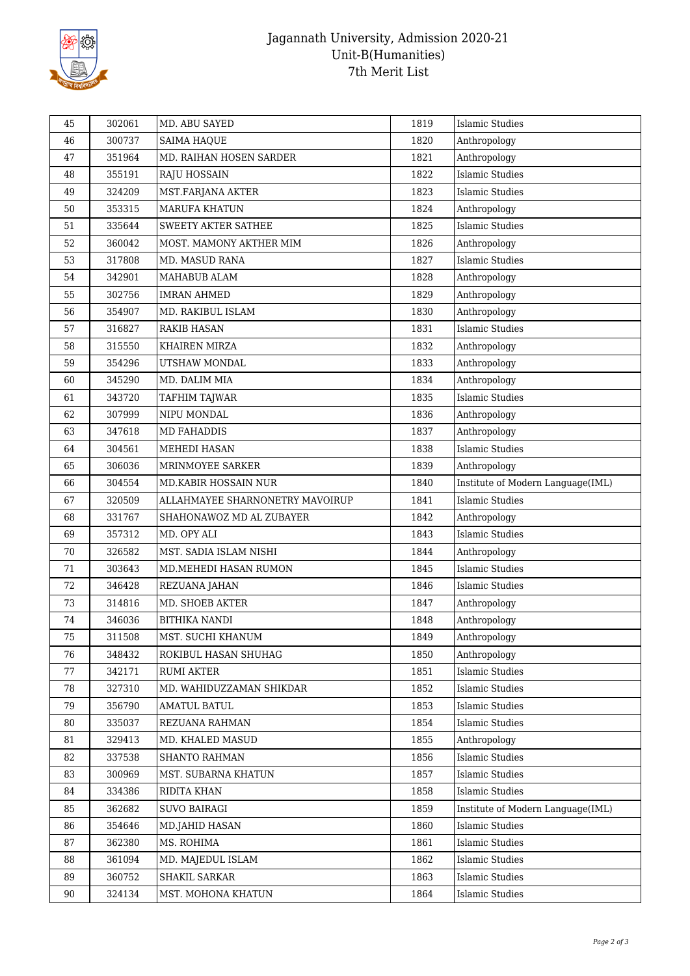

## Jagannath University, Admission 2020-21 Unit-B(Humanities) 7th Merit List

| 46<br>1820<br>Anthropology<br>300737<br>SAIMA HAQUE<br>47<br>351964<br>MD. RAIHAN HOSEN SARDER<br>1821<br>Anthropology<br><b>Islamic Studies</b><br>48<br>1822<br>355191<br>RAJU HOSSAIN<br>MST.FARJANA AKTER<br>1823<br><b>Islamic Studies</b><br>49<br>324209<br>50<br>MARUFA KHATUN<br>1824<br>353315<br>Anthropology<br><b>Islamic Studies</b><br>51<br>335644<br><b>SWEETY AKTER SATHEE</b><br>1825<br>52<br>360042<br>1826<br>Anthropology<br>MOST. MAMONY AKTHER MIM<br><b>Islamic Studies</b><br>53<br>1827<br>317808<br><b>MD. MASUD RANA</b><br>54<br>342901<br>MAHABUB ALAM<br>1828<br>Anthropology<br><b>IMRAN AHMED</b><br>55<br>302756<br>1829<br>Anthropology<br>Anthropology<br>354907<br>1830<br>56<br>MD. RAKIBUL ISLAM<br><b>Islamic Studies</b><br>57<br>1831<br>316827<br><b>RAKIB HASAN</b><br>1832<br>Anthropology<br>58<br>315550<br>KHAIREN MIRZA<br>Anthropology<br>59<br>354296<br>UTSHAW MONDAL<br>1833<br>Anthropology<br>345290<br>1834<br>60<br>MD. DALIM MIA<br><b>Islamic Studies</b><br>61<br>1835<br>343720<br>TAFHIM TAJWAR<br>62<br>307999<br>NIPU MONDAL<br>1836<br>Anthropology<br>Anthropology<br>63<br>1837<br>347618<br><b>MD FAHADDIS</b><br><b>Islamic Studies</b><br>1838<br>64<br>304561<br>MEHEDI HASAN<br>65<br>306036<br>MRINMOYEE SARKER<br>1839<br>Anthropology<br>Institute of Modern Language(IML)<br>66<br>304554<br>MD.KABIR HOSSAIN NUR<br>1840<br>67<br>320509<br>ALLAHMAYEE SHARNONETRY MAVOIRUP<br>1841<br><b>Islamic Studies</b><br>68<br>331767<br>SHAHONAWOZ MD AL ZUBAYER<br>1842<br>Anthropology<br><b>Islamic Studies</b><br>69<br>357312<br>MD. OPY ALI<br>1843<br>70<br>MST. SADIA ISLAM NISHI<br>1844<br>Anthropology<br>326582<br><b>Islamic Studies</b><br>303643<br>1845<br>71<br>MD.MEHEDI HASAN RUMON<br>72<br><b>Islamic Studies</b><br>346428<br>REZUANA JAHAN<br>1846<br>73<br>314816<br>MD. SHOEB AKTER<br>Anthropology<br>1847<br>74<br>Anthropology<br>346036<br><b>BITHIKA NANDI</b><br>1848<br>75<br>311508<br>MST. SUCHI KHANUM<br>1849<br>Anthropology<br>76<br>348432<br>ROKIBUL HASAN SHUHAG<br>1850<br>Anthropology<br><b>RUMI AKTER</b><br>1851<br><b>Islamic Studies</b><br>77<br>342171<br>1852<br><b>Islamic Studies</b><br>78<br>327310<br>MD. WAHIDUZZAMAN SHIKDAR<br>79<br><b>Islamic Studies</b><br>356790<br><b>AMATUL BATUL</b><br>1853<br>80<br>335037<br>REZUANA RAHMAN<br>1854<br><b>Islamic Studies</b><br>81<br>MD. KHALED MASUD<br>329413<br>1855<br>Anthropology<br><b>Islamic Studies</b><br>82<br>337538<br>SHANTO RAHMAN<br>1856<br>83<br>300969<br>Islamic Studies<br>MST. SUBARNA KHATUN<br>1857<br>334386<br>RIDITA KHAN<br>1858<br><b>Islamic Studies</b><br>84<br><b>SUVO BAIRAGI</b><br>85<br>362682<br>1859<br>Institute of Modern Language(IML) | 45 | 302061 | MD. ABU SAYED | 1819 | <b>Islamic Studies</b> |
|-------------------------------------------------------------------------------------------------------------------------------------------------------------------------------------------------------------------------------------------------------------------------------------------------------------------------------------------------------------------------------------------------------------------------------------------------------------------------------------------------------------------------------------------------------------------------------------------------------------------------------------------------------------------------------------------------------------------------------------------------------------------------------------------------------------------------------------------------------------------------------------------------------------------------------------------------------------------------------------------------------------------------------------------------------------------------------------------------------------------------------------------------------------------------------------------------------------------------------------------------------------------------------------------------------------------------------------------------------------------------------------------------------------------------------------------------------------------------------------------------------------------------------------------------------------------------------------------------------------------------------------------------------------------------------------------------------------------------------------------------------------------------------------------------------------------------------------------------------------------------------------------------------------------------------------------------------------------------------------------------------------------------------------------------------------------------------------------------------------------------------------------------------------------------------------------------------------------------------------------------------------------------------------------------------------------------------------------------------------------------------------------------------------------------------------------------------------------------------------------------------------------------------------------------------------------------------------------------------------------------------------------------------------------------------------------------------------------------------------------------------------------|----|--------|---------------|------|------------------------|
|                                                                                                                                                                                                                                                                                                                                                                                                                                                                                                                                                                                                                                                                                                                                                                                                                                                                                                                                                                                                                                                                                                                                                                                                                                                                                                                                                                                                                                                                                                                                                                                                                                                                                                                                                                                                                                                                                                                                                                                                                                                                                                                                                                                                                                                                                                                                                                                                                                                                                                                                                                                                                                                                                                                                                                   |    |        |               |      |                        |
|                                                                                                                                                                                                                                                                                                                                                                                                                                                                                                                                                                                                                                                                                                                                                                                                                                                                                                                                                                                                                                                                                                                                                                                                                                                                                                                                                                                                                                                                                                                                                                                                                                                                                                                                                                                                                                                                                                                                                                                                                                                                                                                                                                                                                                                                                                                                                                                                                                                                                                                                                                                                                                                                                                                                                                   |    |        |               |      |                        |
|                                                                                                                                                                                                                                                                                                                                                                                                                                                                                                                                                                                                                                                                                                                                                                                                                                                                                                                                                                                                                                                                                                                                                                                                                                                                                                                                                                                                                                                                                                                                                                                                                                                                                                                                                                                                                                                                                                                                                                                                                                                                                                                                                                                                                                                                                                                                                                                                                                                                                                                                                                                                                                                                                                                                                                   |    |        |               |      |                        |
|                                                                                                                                                                                                                                                                                                                                                                                                                                                                                                                                                                                                                                                                                                                                                                                                                                                                                                                                                                                                                                                                                                                                                                                                                                                                                                                                                                                                                                                                                                                                                                                                                                                                                                                                                                                                                                                                                                                                                                                                                                                                                                                                                                                                                                                                                                                                                                                                                                                                                                                                                                                                                                                                                                                                                                   |    |        |               |      |                        |
|                                                                                                                                                                                                                                                                                                                                                                                                                                                                                                                                                                                                                                                                                                                                                                                                                                                                                                                                                                                                                                                                                                                                                                                                                                                                                                                                                                                                                                                                                                                                                                                                                                                                                                                                                                                                                                                                                                                                                                                                                                                                                                                                                                                                                                                                                                                                                                                                                                                                                                                                                                                                                                                                                                                                                                   |    |        |               |      |                        |
|                                                                                                                                                                                                                                                                                                                                                                                                                                                                                                                                                                                                                                                                                                                                                                                                                                                                                                                                                                                                                                                                                                                                                                                                                                                                                                                                                                                                                                                                                                                                                                                                                                                                                                                                                                                                                                                                                                                                                                                                                                                                                                                                                                                                                                                                                                                                                                                                                                                                                                                                                                                                                                                                                                                                                                   |    |        |               |      |                        |
|                                                                                                                                                                                                                                                                                                                                                                                                                                                                                                                                                                                                                                                                                                                                                                                                                                                                                                                                                                                                                                                                                                                                                                                                                                                                                                                                                                                                                                                                                                                                                                                                                                                                                                                                                                                                                                                                                                                                                                                                                                                                                                                                                                                                                                                                                                                                                                                                                                                                                                                                                                                                                                                                                                                                                                   |    |        |               |      |                        |
|                                                                                                                                                                                                                                                                                                                                                                                                                                                                                                                                                                                                                                                                                                                                                                                                                                                                                                                                                                                                                                                                                                                                                                                                                                                                                                                                                                                                                                                                                                                                                                                                                                                                                                                                                                                                                                                                                                                                                                                                                                                                                                                                                                                                                                                                                                                                                                                                                                                                                                                                                                                                                                                                                                                                                                   |    |        |               |      |                        |
|                                                                                                                                                                                                                                                                                                                                                                                                                                                                                                                                                                                                                                                                                                                                                                                                                                                                                                                                                                                                                                                                                                                                                                                                                                                                                                                                                                                                                                                                                                                                                                                                                                                                                                                                                                                                                                                                                                                                                                                                                                                                                                                                                                                                                                                                                                                                                                                                                                                                                                                                                                                                                                                                                                                                                                   |    |        |               |      |                        |
|                                                                                                                                                                                                                                                                                                                                                                                                                                                                                                                                                                                                                                                                                                                                                                                                                                                                                                                                                                                                                                                                                                                                                                                                                                                                                                                                                                                                                                                                                                                                                                                                                                                                                                                                                                                                                                                                                                                                                                                                                                                                                                                                                                                                                                                                                                                                                                                                                                                                                                                                                                                                                                                                                                                                                                   |    |        |               |      |                        |
|                                                                                                                                                                                                                                                                                                                                                                                                                                                                                                                                                                                                                                                                                                                                                                                                                                                                                                                                                                                                                                                                                                                                                                                                                                                                                                                                                                                                                                                                                                                                                                                                                                                                                                                                                                                                                                                                                                                                                                                                                                                                                                                                                                                                                                                                                                                                                                                                                                                                                                                                                                                                                                                                                                                                                                   |    |        |               |      |                        |
|                                                                                                                                                                                                                                                                                                                                                                                                                                                                                                                                                                                                                                                                                                                                                                                                                                                                                                                                                                                                                                                                                                                                                                                                                                                                                                                                                                                                                                                                                                                                                                                                                                                                                                                                                                                                                                                                                                                                                                                                                                                                                                                                                                                                                                                                                                                                                                                                                                                                                                                                                                                                                                                                                                                                                                   |    |        |               |      |                        |
|                                                                                                                                                                                                                                                                                                                                                                                                                                                                                                                                                                                                                                                                                                                                                                                                                                                                                                                                                                                                                                                                                                                                                                                                                                                                                                                                                                                                                                                                                                                                                                                                                                                                                                                                                                                                                                                                                                                                                                                                                                                                                                                                                                                                                                                                                                                                                                                                                                                                                                                                                                                                                                                                                                                                                                   |    |        |               |      |                        |
|                                                                                                                                                                                                                                                                                                                                                                                                                                                                                                                                                                                                                                                                                                                                                                                                                                                                                                                                                                                                                                                                                                                                                                                                                                                                                                                                                                                                                                                                                                                                                                                                                                                                                                                                                                                                                                                                                                                                                                                                                                                                                                                                                                                                                                                                                                                                                                                                                                                                                                                                                                                                                                                                                                                                                                   |    |        |               |      |                        |
|                                                                                                                                                                                                                                                                                                                                                                                                                                                                                                                                                                                                                                                                                                                                                                                                                                                                                                                                                                                                                                                                                                                                                                                                                                                                                                                                                                                                                                                                                                                                                                                                                                                                                                                                                                                                                                                                                                                                                                                                                                                                                                                                                                                                                                                                                                                                                                                                                                                                                                                                                                                                                                                                                                                                                                   |    |        |               |      |                        |
|                                                                                                                                                                                                                                                                                                                                                                                                                                                                                                                                                                                                                                                                                                                                                                                                                                                                                                                                                                                                                                                                                                                                                                                                                                                                                                                                                                                                                                                                                                                                                                                                                                                                                                                                                                                                                                                                                                                                                                                                                                                                                                                                                                                                                                                                                                                                                                                                                                                                                                                                                                                                                                                                                                                                                                   |    |        |               |      |                        |
|                                                                                                                                                                                                                                                                                                                                                                                                                                                                                                                                                                                                                                                                                                                                                                                                                                                                                                                                                                                                                                                                                                                                                                                                                                                                                                                                                                                                                                                                                                                                                                                                                                                                                                                                                                                                                                                                                                                                                                                                                                                                                                                                                                                                                                                                                                                                                                                                                                                                                                                                                                                                                                                                                                                                                                   |    |        |               |      |                        |
|                                                                                                                                                                                                                                                                                                                                                                                                                                                                                                                                                                                                                                                                                                                                                                                                                                                                                                                                                                                                                                                                                                                                                                                                                                                                                                                                                                                                                                                                                                                                                                                                                                                                                                                                                                                                                                                                                                                                                                                                                                                                                                                                                                                                                                                                                                                                                                                                                                                                                                                                                                                                                                                                                                                                                                   |    |        |               |      |                        |
|                                                                                                                                                                                                                                                                                                                                                                                                                                                                                                                                                                                                                                                                                                                                                                                                                                                                                                                                                                                                                                                                                                                                                                                                                                                                                                                                                                                                                                                                                                                                                                                                                                                                                                                                                                                                                                                                                                                                                                                                                                                                                                                                                                                                                                                                                                                                                                                                                                                                                                                                                                                                                                                                                                                                                                   |    |        |               |      |                        |
|                                                                                                                                                                                                                                                                                                                                                                                                                                                                                                                                                                                                                                                                                                                                                                                                                                                                                                                                                                                                                                                                                                                                                                                                                                                                                                                                                                                                                                                                                                                                                                                                                                                                                                                                                                                                                                                                                                                                                                                                                                                                                                                                                                                                                                                                                                                                                                                                                                                                                                                                                                                                                                                                                                                                                                   |    |        |               |      |                        |
|                                                                                                                                                                                                                                                                                                                                                                                                                                                                                                                                                                                                                                                                                                                                                                                                                                                                                                                                                                                                                                                                                                                                                                                                                                                                                                                                                                                                                                                                                                                                                                                                                                                                                                                                                                                                                                                                                                                                                                                                                                                                                                                                                                                                                                                                                                                                                                                                                                                                                                                                                                                                                                                                                                                                                                   |    |        |               |      |                        |
|                                                                                                                                                                                                                                                                                                                                                                                                                                                                                                                                                                                                                                                                                                                                                                                                                                                                                                                                                                                                                                                                                                                                                                                                                                                                                                                                                                                                                                                                                                                                                                                                                                                                                                                                                                                                                                                                                                                                                                                                                                                                                                                                                                                                                                                                                                                                                                                                                                                                                                                                                                                                                                                                                                                                                                   |    |        |               |      |                        |
|                                                                                                                                                                                                                                                                                                                                                                                                                                                                                                                                                                                                                                                                                                                                                                                                                                                                                                                                                                                                                                                                                                                                                                                                                                                                                                                                                                                                                                                                                                                                                                                                                                                                                                                                                                                                                                                                                                                                                                                                                                                                                                                                                                                                                                                                                                                                                                                                                                                                                                                                                                                                                                                                                                                                                                   |    |        |               |      |                        |
|                                                                                                                                                                                                                                                                                                                                                                                                                                                                                                                                                                                                                                                                                                                                                                                                                                                                                                                                                                                                                                                                                                                                                                                                                                                                                                                                                                                                                                                                                                                                                                                                                                                                                                                                                                                                                                                                                                                                                                                                                                                                                                                                                                                                                                                                                                                                                                                                                                                                                                                                                                                                                                                                                                                                                                   |    |        |               |      |                        |
|                                                                                                                                                                                                                                                                                                                                                                                                                                                                                                                                                                                                                                                                                                                                                                                                                                                                                                                                                                                                                                                                                                                                                                                                                                                                                                                                                                                                                                                                                                                                                                                                                                                                                                                                                                                                                                                                                                                                                                                                                                                                                                                                                                                                                                                                                                                                                                                                                                                                                                                                                                                                                                                                                                                                                                   |    |        |               |      |                        |
|                                                                                                                                                                                                                                                                                                                                                                                                                                                                                                                                                                                                                                                                                                                                                                                                                                                                                                                                                                                                                                                                                                                                                                                                                                                                                                                                                                                                                                                                                                                                                                                                                                                                                                                                                                                                                                                                                                                                                                                                                                                                                                                                                                                                                                                                                                                                                                                                                                                                                                                                                                                                                                                                                                                                                                   |    |        |               |      |                        |
|                                                                                                                                                                                                                                                                                                                                                                                                                                                                                                                                                                                                                                                                                                                                                                                                                                                                                                                                                                                                                                                                                                                                                                                                                                                                                                                                                                                                                                                                                                                                                                                                                                                                                                                                                                                                                                                                                                                                                                                                                                                                                                                                                                                                                                                                                                                                                                                                                                                                                                                                                                                                                                                                                                                                                                   |    |        |               |      |                        |
|                                                                                                                                                                                                                                                                                                                                                                                                                                                                                                                                                                                                                                                                                                                                                                                                                                                                                                                                                                                                                                                                                                                                                                                                                                                                                                                                                                                                                                                                                                                                                                                                                                                                                                                                                                                                                                                                                                                                                                                                                                                                                                                                                                                                                                                                                                                                                                                                                                                                                                                                                                                                                                                                                                                                                                   |    |        |               |      |                        |
|                                                                                                                                                                                                                                                                                                                                                                                                                                                                                                                                                                                                                                                                                                                                                                                                                                                                                                                                                                                                                                                                                                                                                                                                                                                                                                                                                                                                                                                                                                                                                                                                                                                                                                                                                                                                                                                                                                                                                                                                                                                                                                                                                                                                                                                                                                                                                                                                                                                                                                                                                                                                                                                                                                                                                                   |    |        |               |      |                        |
|                                                                                                                                                                                                                                                                                                                                                                                                                                                                                                                                                                                                                                                                                                                                                                                                                                                                                                                                                                                                                                                                                                                                                                                                                                                                                                                                                                                                                                                                                                                                                                                                                                                                                                                                                                                                                                                                                                                                                                                                                                                                                                                                                                                                                                                                                                                                                                                                                                                                                                                                                                                                                                                                                                                                                                   |    |        |               |      |                        |
|                                                                                                                                                                                                                                                                                                                                                                                                                                                                                                                                                                                                                                                                                                                                                                                                                                                                                                                                                                                                                                                                                                                                                                                                                                                                                                                                                                                                                                                                                                                                                                                                                                                                                                                                                                                                                                                                                                                                                                                                                                                                                                                                                                                                                                                                                                                                                                                                                                                                                                                                                                                                                                                                                                                                                                   |    |        |               |      |                        |
|                                                                                                                                                                                                                                                                                                                                                                                                                                                                                                                                                                                                                                                                                                                                                                                                                                                                                                                                                                                                                                                                                                                                                                                                                                                                                                                                                                                                                                                                                                                                                                                                                                                                                                                                                                                                                                                                                                                                                                                                                                                                                                                                                                                                                                                                                                                                                                                                                                                                                                                                                                                                                                                                                                                                                                   |    |        |               |      |                        |
|                                                                                                                                                                                                                                                                                                                                                                                                                                                                                                                                                                                                                                                                                                                                                                                                                                                                                                                                                                                                                                                                                                                                                                                                                                                                                                                                                                                                                                                                                                                                                                                                                                                                                                                                                                                                                                                                                                                                                                                                                                                                                                                                                                                                                                                                                                                                                                                                                                                                                                                                                                                                                                                                                                                                                                   |    |        |               |      |                        |
|                                                                                                                                                                                                                                                                                                                                                                                                                                                                                                                                                                                                                                                                                                                                                                                                                                                                                                                                                                                                                                                                                                                                                                                                                                                                                                                                                                                                                                                                                                                                                                                                                                                                                                                                                                                                                                                                                                                                                                                                                                                                                                                                                                                                                                                                                                                                                                                                                                                                                                                                                                                                                                                                                                                                                                   |    |        |               |      |                        |
|                                                                                                                                                                                                                                                                                                                                                                                                                                                                                                                                                                                                                                                                                                                                                                                                                                                                                                                                                                                                                                                                                                                                                                                                                                                                                                                                                                                                                                                                                                                                                                                                                                                                                                                                                                                                                                                                                                                                                                                                                                                                                                                                                                                                                                                                                                                                                                                                                                                                                                                                                                                                                                                                                                                                                                   |    |        |               |      |                        |
|                                                                                                                                                                                                                                                                                                                                                                                                                                                                                                                                                                                                                                                                                                                                                                                                                                                                                                                                                                                                                                                                                                                                                                                                                                                                                                                                                                                                                                                                                                                                                                                                                                                                                                                                                                                                                                                                                                                                                                                                                                                                                                                                                                                                                                                                                                                                                                                                                                                                                                                                                                                                                                                                                                                                                                   |    |        |               |      |                        |
|                                                                                                                                                                                                                                                                                                                                                                                                                                                                                                                                                                                                                                                                                                                                                                                                                                                                                                                                                                                                                                                                                                                                                                                                                                                                                                                                                                                                                                                                                                                                                                                                                                                                                                                                                                                                                                                                                                                                                                                                                                                                                                                                                                                                                                                                                                                                                                                                                                                                                                                                                                                                                                                                                                                                                                   |    |        |               |      |                        |
|                                                                                                                                                                                                                                                                                                                                                                                                                                                                                                                                                                                                                                                                                                                                                                                                                                                                                                                                                                                                                                                                                                                                                                                                                                                                                                                                                                                                                                                                                                                                                                                                                                                                                                                                                                                                                                                                                                                                                                                                                                                                                                                                                                                                                                                                                                                                                                                                                                                                                                                                                                                                                                                                                                                                                                   |    |        |               |      |                        |
|                                                                                                                                                                                                                                                                                                                                                                                                                                                                                                                                                                                                                                                                                                                                                                                                                                                                                                                                                                                                                                                                                                                                                                                                                                                                                                                                                                                                                                                                                                                                                                                                                                                                                                                                                                                                                                                                                                                                                                                                                                                                                                                                                                                                                                                                                                                                                                                                                                                                                                                                                                                                                                                                                                                                                                   |    |        |               |      |                        |
|                                                                                                                                                                                                                                                                                                                                                                                                                                                                                                                                                                                                                                                                                                                                                                                                                                                                                                                                                                                                                                                                                                                                                                                                                                                                                                                                                                                                                                                                                                                                                                                                                                                                                                                                                                                                                                                                                                                                                                                                                                                                                                                                                                                                                                                                                                                                                                                                                                                                                                                                                                                                                                                                                                                                                                   |    |        |               |      |                        |
| <b>Islamic Studies</b><br>354646<br>MD.JAHID HASAN<br>1860<br>86                                                                                                                                                                                                                                                                                                                                                                                                                                                                                                                                                                                                                                                                                                                                                                                                                                                                                                                                                                                                                                                                                                                                                                                                                                                                                                                                                                                                                                                                                                                                                                                                                                                                                                                                                                                                                                                                                                                                                                                                                                                                                                                                                                                                                                                                                                                                                                                                                                                                                                                                                                                                                                                                                                  |    |        |               |      |                        |
| 87<br><b>Islamic Studies</b><br>362380<br>MS. ROHIMA<br>1861                                                                                                                                                                                                                                                                                                                                                                                                                                                                                                                                                                                                                                                                                                                                                                                                                                                                                                                                                                                                                                                                                                                                                                                                                                                                                                                                                                                                                                                                                                                                                                                                                                                                                                                                                                                                                                                                                                                                                                                                                                                                                                                                                                                                                                                                                                                                                                                                                                                                                                                                                                                                                                                                                                      |    |        |               |      |                        |
| 361094<br>1862<br><b>Islamic Studies</b><br>88<br>MD. MAJEDUL ISLAM                                                                                                                                                                                                                                                                                                                                                                                                                                                                                                                                                                                                                                                                                                                                                                                                                                                                                                                                                                                                                                                                                                                                                                                                                                                                                                                                                                                                                                                                                                                                                                                                                                                                                                                                                                                                                                                                                                                                                                                                                                                                                                                                                                                                                                                                                                                                                                                                                                                                                                                                                                                                                                                                                               |    |        |               |      |                        |
| <b>Islamic Studies</b><br>89<br>SHAKIL SARKAR<br>1863<br>360752                                                                                                                                                                                                                                                                                                                                                                                                                                                                                                                                                                                                                                                                                                                                                                                                                                                                                                                                                                                                                                                                                                                                                                                                                                                                                                                                                                                                                                                                                                                                                                                                                                                                                                                                                                                                                                                                                                                                                                                                                                                                                                                                                                                                                                                                                                                                                                                                                                                                                                                                                                                                                                                                                                   |    |        |               |      |                        |
| $90\,$<br><b>Islamic Studies</b><br>324134<br>MST. MOHONA KHATUN<br>1864                                                                                                                                                                                                                                                                                                                                                                                                                                                                                                                                                                                                                                                                                                                                                                                                                                                                                                                                                                                                                                                                                                                                                                                                                                                                                                                                                                                                                                                                                                                                                                                                                                                                                                                                                                                                                                                                                                                                                                                                                                                                                                                                                                                                                                                                                                                                                                                                                                                                                                                                                                                                                                                                                          |    |        |               |      |                        |